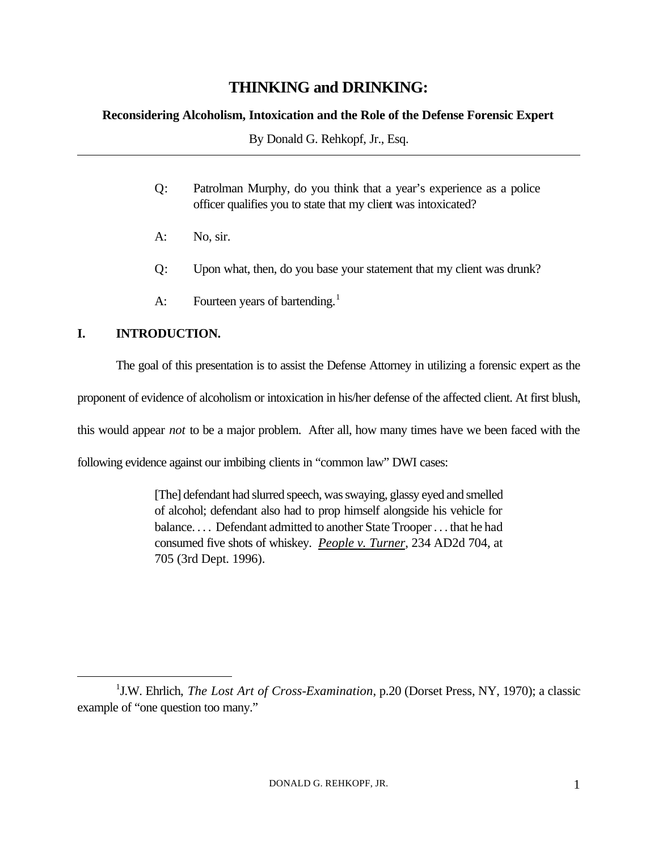# **THINKING and DRINKING:**

### **Reconsidering Alcoholism, Intoxication and the Role of the Defense Forensic Expert**

By Donald G. Rehkopf, Jr., Esq.

- Q: Patrolman Murphy, do you think that a year's experience as a police officer qualifies you to state that my client was intoxicated?
- A: No, sir.
- Q: Upon what, then, do you base your statement that my client was drunk?
- A: Fourteen years of bartending.<sup>1</sup>

## **I. INTRODUCTION.**

 $\overline{a}$ 

The goal of this presentation is to assist the Defense Attorney in utilizing a forensic expert as the

proponent of evidence of alcoholism or intoxication in his/her defense of the affected client. At first blush,

this would appear *not* to be a major problem. After all, how many times have we been faced with the

following evidence against our imbibing clients in "common law" DWI cases:

[The] defendant had slurred speech, was swaying, glassy eyed and smelled of alcohol; defendant also had to prop himself alongside his vehicle for balance. . . . Defendant admitted to another State Trooper . . . that he had consumed five shots of whiskey. *People v. Turner*, 234 AD2d 704, at 705 (3rd Dept. 1996).

<sup>&</sup>lt;sup>1</sup>J.W. Ehrlich, *The Lost Art of Cross-Examination*, p.20 (Dorset Press, NY, 1970); a classic example of "one question too many."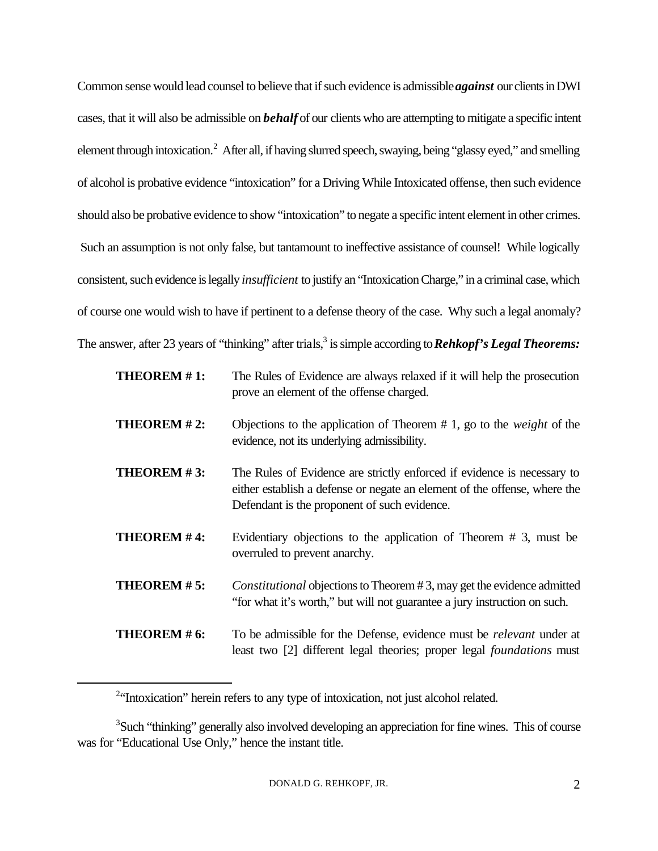Common sense would lead counsel to believe that if such evidence is admissible *against* our clients in DWI cases, that it will also be admissible on *behalf* of our clients who are attempting to mitigate a specific intent element through intoxication.<sup>2</sup> After all, if having slurred speech, swaying, being "glassy eyed," and smelling of alcohol is probative evidence "intoxication" for a Driving While Intoxicated offense, then such evidence should also be probative evidence to show "intoxication" to negate a specific intent element in other crimes. Such an assumption is not only false, but tantamount to ineffective assistance of counsel! While logically consistent, such evidence is legally *insufficient* to justify an "Intoxication Charge," in a criminal case, which of course one would wish to have if pertinent to a defense theory of the case. Why such a legal anomaly? The answer, after 23 years of "thinking" after trials,<sup>3</sup> is simple according to *Rehkopf's Legal Theorems:* 

| THEOREM #1:        | The Rules of Evidence are always relaxed if it will help the prosecution<br>prove an element of the offense charged.                                                                                 |
|--------------------|------------------------------------------------------------------------------------------------------------------------------------------------------------------------------------------------------|
| THEOREM #2:        | Objections to the application of Theorem $# 1$ , go to the <i>weight</i> of the<br>evidence, not its underlying admissibility.                                                                       |
| THEOREM #3:        | The Rules of Evidence are strictly enforced if evidence is necessary to<br>either establish a defense or negate an element of the offense, where the<br>Defendant is the proponent of such evidence. |
| <b>THEOREM #4:</b> | Evidentiary objections to the application of Theorem $# 3$ , must be<br>overruled to prevent anarchy.                                                                                                |
| THEOREM #5:        | Constitutional objections to Theorem #3, may get the evidence admitted<br>"for what it's worth," but will not guarantee a jury instruction on such.                                                  |
| THEOREM # 6:       | To be admissible for the Defense, evidence must be <i>relevant</i> under at<br>least two [2] different legal theories; proper legal <i>foundations</i> must                                          |

<sup>&</sup>lt;sup>2</sup><sup>4</sup>Intoxication" herein refers to any type of intoxication, not just alcohol related.

<sup>&</sup>lt;sup>3</sup>Such "thinking" generally also involved developing an appreciation for fine wines. This of course was for "Educational Use Only," hence the instant title.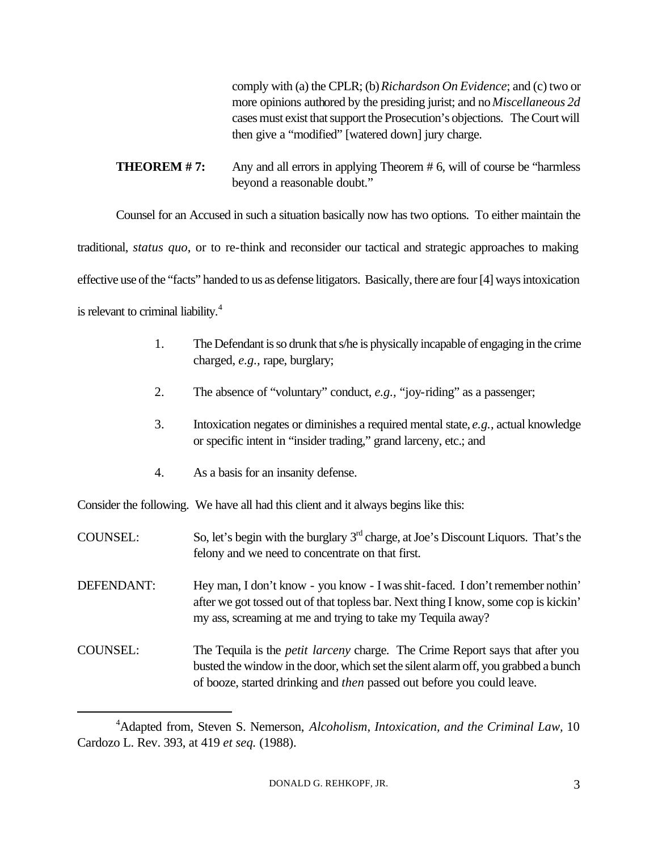comply with (a) the CPLR; (b) *Richardson On Evidence*; and (c) two or more opinions authored by the presiding jurist; and no *Miscellaneous 2d* cases must exist that support the Prosecution's objections. The Court will then give a "modified" [watered down] jury charge.

**THEOREM #7:** Any and all errors in applying Theorem #6, will of course be "harmless" beyond a reasonable doubt."

Counsel for an Accused in such a situation basically now has two options. To either maintain the

traditional, *status quo*, or to re-think and reconsider our tactical and strategic approaches to making

effective use of the "facts" handed to us as defense litigators. Basically, there are four [4] ways intoxication

is relevant to criminal liability. $4$ 

 $\overline{a}$ 

- 1. The Defendant is so drunk that s/he is physically incapable of engaging in the crime charged, *e.g.,* rape, burglary;
- 2. The absence of "voluntary" conduct, *e.g.,* "joy-riding" as a passenger;
- 3. Intoxication negates or diminishes a required mental state, *e.g.,* actual knowledge or specific intent in "insider trading," grand larceny, etc.; and
- 4. As a basis for an insanity defense.

Consider the following. We have all had this client and it always begins like this:

- COUNSEL: So, let's begin with the burglary  $3<sup>rd</sup>$  charge, at Joe's Discount Liquors. That's the felony and we need to concentrate on that first.
- DEFENDANT: Hey man, I don't know you know I was shit-faced. I don't remember nothin' after we got tossed out of that topless bar. Next thing I know, some cop is kickin' my ass, screaming at me and trying to take my Tequila away?
- COUNSEL: The Tequila is the *petit larceny* charge. The Crime Report says that after you busted the window in the door, which set the silent alarm off, you grabbed a bunch of booze, started drinking and *then* passed out before you could leave.

<sup>4</sup>Adapted from, Steven S. Nemerson, *Alcoholism, Intoxication, and the Criminal Law,* 10 Cardozo L. Rev. 393, at 419 *et seq.* (1988).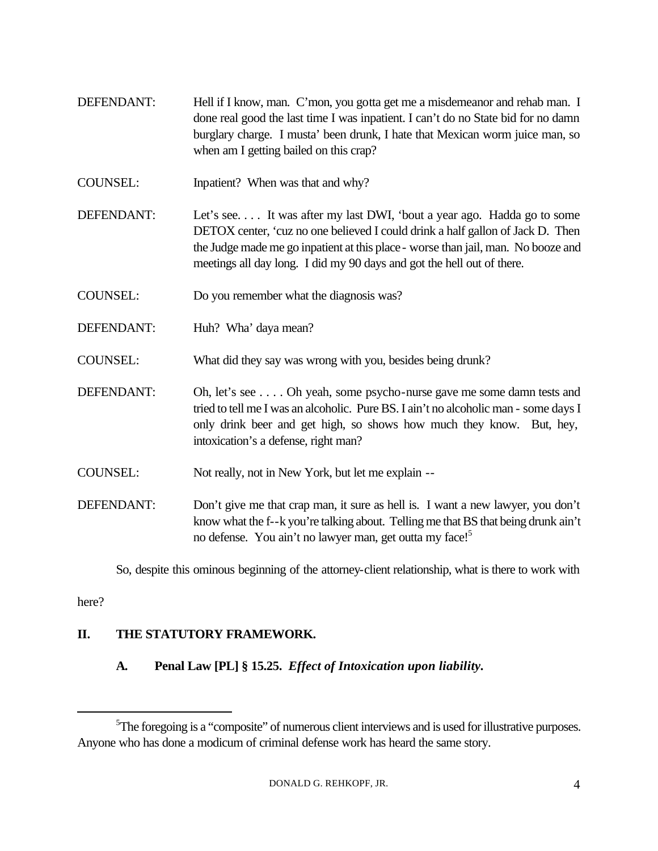- DEFENDANT: Hell if I know, man. C'mon, you gotta get me a misdemeanor and rehab man. I done real good the last time I was inpatient. I can't do no State bid for no damn burglary charge. I musta' been drunk, I hate that Mexican worm juice man, so when am I getting bailed on this crap?
- COUNSEL: Inpatient? When was that and why?
- DEFENDANT: Let's see. . . . It was after my last DWI, 'bout a year ago. Hadda go to some DETOX center, 'cuz no one believed I could drink a half gallon of Jack D. Then the Judge made me go inpatient at this place - worse than jail, man. No booze and meetings all day long. I did my 90 days and got the hell out of there.
- COUNSEL: Do you remember what the diagnosis was?
- DEFENDANT: Huh? Wha' daya mean?
- COUNSEL: What did they say was wrong with you, besides being drunk?
- DEFENDANT: Oh, let's see . . . . Oh yeah, some psycho-nurse gave me some damn tests and tried to tell me I was an alcoholic. Pure BS. I ain't no alcoholic man - some days I only drink beer and get high, so shows how much they know. But, hey, intoxication's a defense, right man?
- COUNSEL: Not really, not in New York, but let me explain --
- DEFENDANT: Don't give me that crap man, it sure as hell is. I want a new lawyer, you don't know what the f--k you're talking about. Telling me that BS that being drunk ain't no defense. You ain't no lawyer man, get outta my face!<sup>5</sup>

So, despite this ominous beginning of the attorney-client relationship, what is there to work with

here?

 $\overline{a}$ 

### **II. THE STATUTORY FRAMEWORK.**

**A. Penal Law [PL] § 15.25.** *Effect of Intoxication upon liability.*

<sup>&</sup>lt;sup>5</sup>The foregoing is a "composite" of numerous client interviews and is used for illustrative purposes. Anyone who has done a modicum of criminal defense work has heard the same story.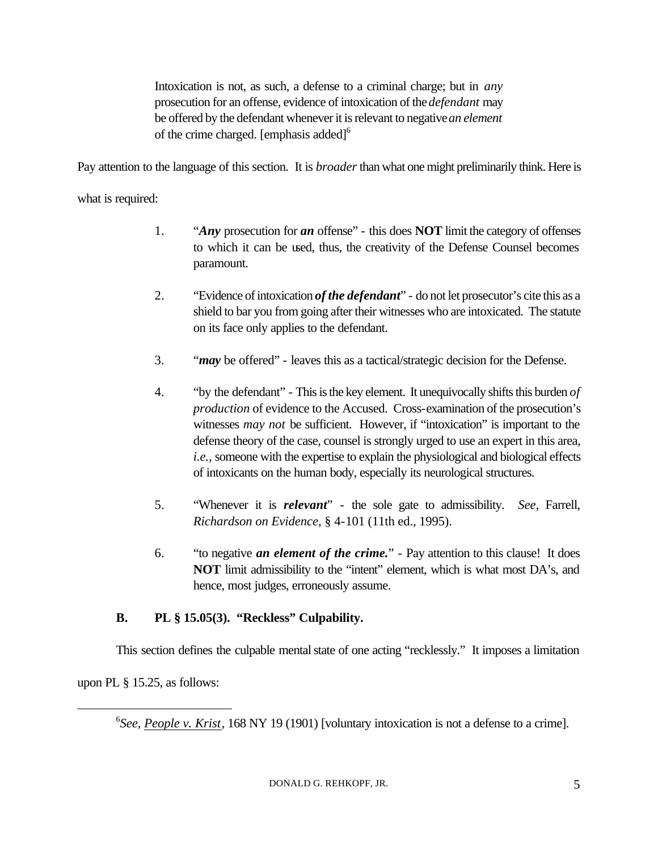Intoxication is not, as such, a defense to a criminal charge; but in *any* prosecution for an offense, evidence of intoxication of the *defendant* may be offered by the defendant whenever it is relevant to negative *an element* of the crime charged. [emphasis added] $<sup>6</sup>$ </sup>

Pay attention to the language of this section. It is *broader* than what one might preliminarily think. Here is

what is required:

- 1. "*Any* prosecution for *an* offense" this does **NOT** limit the category of offenses to which it can be used, thus, the creativity of the Defense Counsel becomes paramount.
- 2. "Evidence of intoxication *of the defendant*" do not let prosecutor's cite this as a shield to bar you from going after their witnesses who are intoxicated. The statute on its face only applies to the defendant.
- 3. "*may* be offered" leaves this as a tactical/strategic decision for the Defense.
- 4. "by the defendant" This is the key element. It unequivocally shifts this burden *of production* of evidence to the Accused. Cross-examination of the prosecution's witnesses *may not* be sufficient. However, if "intoxication" is important to the defense theory of the case, counsel is strongly urged to use an expert in this area, *i.e.,* someone with the expertise to explain the physiological and biological effects of intoxicants on the human body, especially its neurological structures.
- 5. "Whenever it is *relevant*" the sole gate to admissibility. *See,* Farrell, *Richardson on Evidence,* § 4-101 (11th ed., 1995).
- 6. "to negative *an element of the crime.*" Pay attention to this clause! It does **NOT** limit admissibility to the "intent" element, which is what most DA's, and hence, most judges, erroneously assume.

### **B. PL § 15.05(3). "Reckless" Culpability.**

This section defines the culpable mental state of one acting "recklessly." It imposes a limitation

upon PL § 15.25, as follows:

 $\overline{a}$ 

<sup>6</sup>See, People v. Krist, 168 NY 19 (1901) [voluntary intoxication is not a defense to a crime].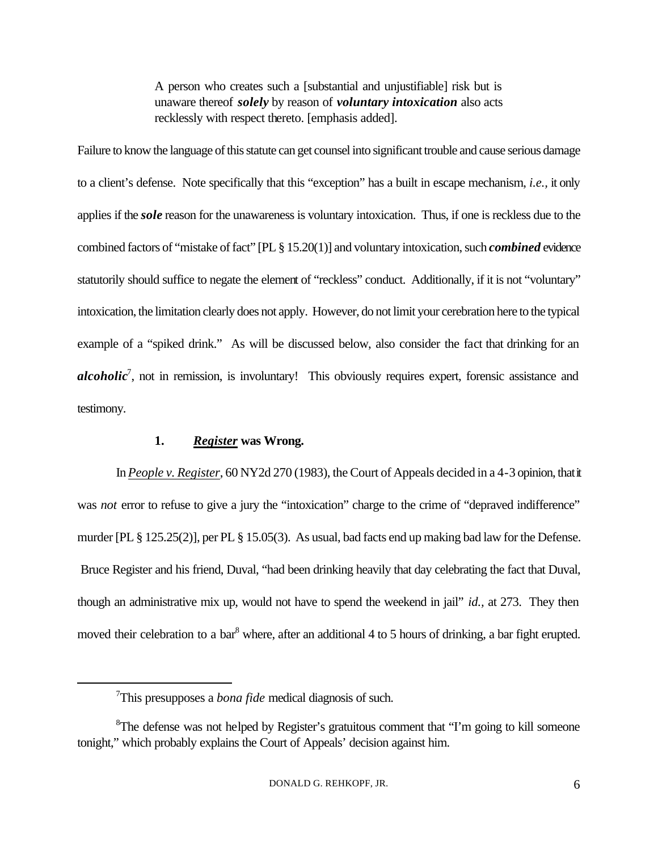A person who creates such a [substantial and unjustifiable] risk but is unaware thereof *solely* by reason of *voluntary intoxication* also acts recklessly with respect thereto. [emphasis added].

Failure to know the language of this statute can get counsel into significant trouble and cause serious damage to a client's defense. Note specifically that this "exception" has a built in escape mechanism, *i.e.,* it only applies if the *sole* reason for the unawareness is voluntary intoxication. Thus, if one is reckless due to the combined factors of "mistake of fact" [PL § 15.20(1)] and voluntary intoxication, such *combined* evidence statutorily should suffice to negate the element of "reckless" conduct. Additionally, if it is not "voluntary" intoxication, the limitation clearly does not apply. However, do not limit your cerebration here to the typical example of a "spiked drink." As will be discussed below, also consider the fact that drinking for an alcoholic<sup>7</sup>, not in remission, is involuntary! This obviously requires expert, forensic assistance and testimony.

#### **1.** *Register* **was Wrong.**

In *People v. Register*, 60 NY2d 270 (1983), the Court of Appeals decided in a 4-3 opinion, that it was *not* error to refuse to give a jury the "intoxication" charge to the crime of "depraved indifference" murder [PL § 125.25(2)], per PL § 15.05(3). As usual, bad facts end up making bad law for the Defense. Bruce Register and his friend, Duval, "had been drinking heavily that day celebrating the fact that Duval, though an administrative mix up, would not have to spend the weekend in jail" *id.,* at 273. They then moved their celebration to a bar<sup>8</sup> where, after an additional 4 to 5 hours of drinking, a bar fight erupted.

<sup>7</sup>This presupposes a *bona fide* medical diagnosis of such.

<sup>&</sup>lt;sup>8</sup>The defense was not helped by Register's gratuitous comment that "I'm going to kill someone tonight," which probably explains the Court of Appeals' decision against him.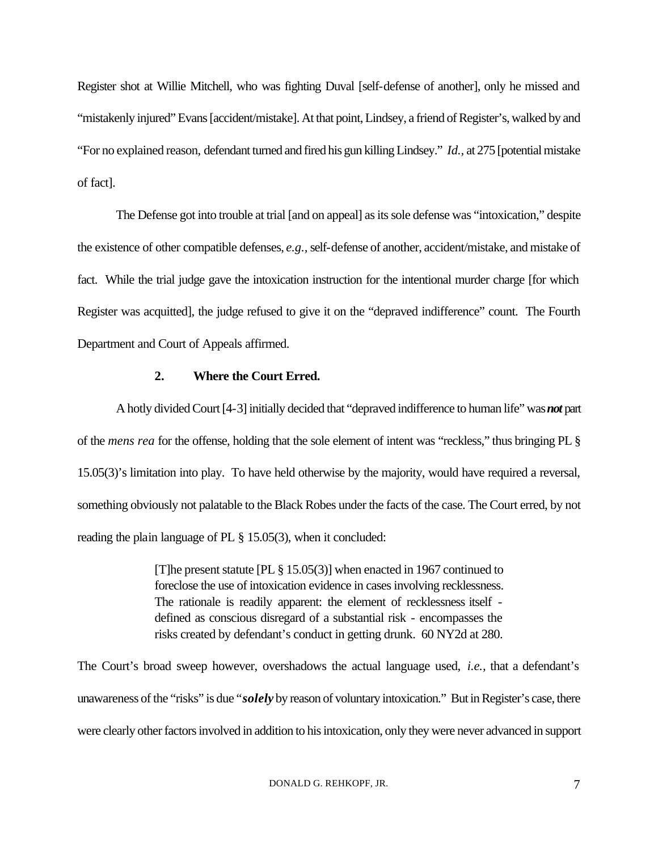Register shot at Willie Mitchell, who was fighting Duval [self-defense of another], only he missed and "mistakenly injured" Evans [accident/mistake]. At that point, Lindsey, a friend of Register's, walked by and "For no explained reason, defendant turned and fired his gun killing Lindsey." *Id.,* at 275 [potential mistake of fact].

The Defense got into trouble at trial [and on appeal] as its sole defense was "intoxication," despite the existence of other compatible defenses, *e.g.,* self-defense of another, accident/mistake, and mistake of fact. While the trial judge gave the intoxication instruction for the intentional murder charge [for which Register was acquitted], the judge refused to give it on the "depraved indifference" count. The Fourth Department and Court of Appeals affirmed.

#### **2. Where the Court Erred.**

A hotly divided Court [4-3] initially decided that "depraved indifference to human life" was *not* part of the *mens rea* for the offense, holding that the sole element of intent was "reckless," thus bringing PL § 15.05(3)'s limitation into play. To have held otherwise by the majority, would have required a reversal, something obviously not palatable to the Black Robes under the facts of the case. The Court erred, by not reading the plain language of PL § 15.05(3), when it concluded:

> [T]he present statute [PL § 15.05(3)] when enacted in 1967 continued to foreclose the use of intoxication evidence in cases involving recklessness. The rationale is readily apparent: the element of recklessness itself defined as conscious disregard of a substantial risk - encompasses the risks created by defendant's conduct in getting drunk. 60 NY2d at 280.

The Court's broad sweep however, overshadows the actual language used, *i.e.,* that a defendant's unawareness of the "risks" is due "*solely* by reason of voluntary intoxication." But in Register's case, there were clearly other factors involved in addition to his intoxication, only they were never advanced in support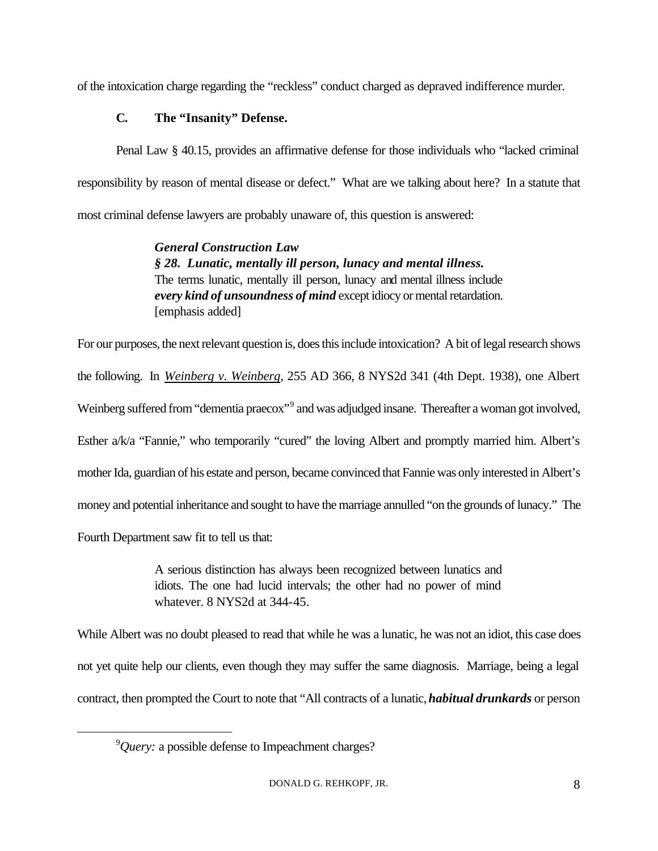of the intoxication charge regarding the "reckless" conduct charged as depraved indifference murder.

# **C. The "Insanity" Defense.**

Penal Law § 40.15, provides an affirmative defense for those individuals who "lacked criminal responsibility by reason of mental disease or defect." What are we talking about here? In a statute that most criminal defense lawyers are probably unaware of, this question is answered:

> *General Construction Law § 28. Lunatic, mentally ill person, lunacy and mental illness.* The terms lunatic, mentally ill person, lunacy and mental illness include *every kind of unsoundness of mind* except idiocy or mental retardation. [emphasis added]

For our purposes, the next relevant question is, does this include intoxication? A bit of legal research shows the following. In *Weinberg v. Weinberg*, 255 AD 366, 8 NYS2d 341 (4th Dept. 1938), one Albert Weinberg suffered from "dementia praecox"<sup>9</sup> and was adjudged insane. Thereafter a woman got involved, Esther a/k/a "Fannie," who temporarily "cured" the loving Albert and promptly married him. Albert's mother Ida, guardian of his estate and person, became convinced that Fannie was only interested in Albert's money and potential inheritance and sought to have the marriage annulled "on the grounds of lunacy." The Fourth Department saw fit to tell us that:

> A serious distinction has always been recognized between lunatics and idiots. The one had lucid intervals; the other had no power of mind whatever. 8 NYS2d at 344-45.

While Albert was no doubt pleased to read that while he was a lunatic, he was not an idiot, this case does not yet quite help our clients, even though they may suffer the same diagnosis. Marriage, being a legal contract, then prompted the Court to note that "All contracts of a lunatic, *habitual drunkards* or person

<sup>9</sup>*Query:* a possible defense to Impeachment charges?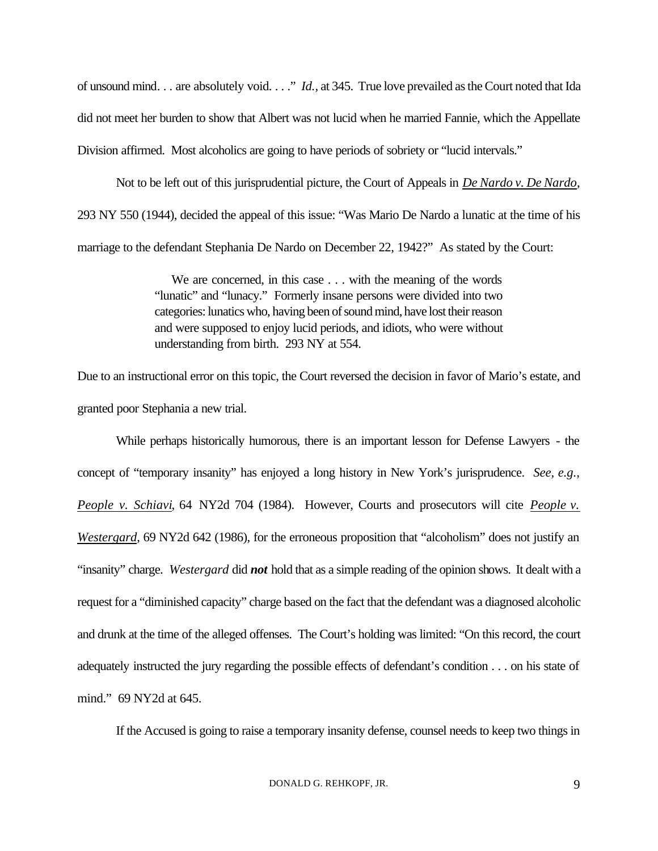of unsound mind. . . are absolutely void. . . ." *Id.,* at 345. True love prevailed as the Court noted that Ida did not meet her burden to show that Albert was not lucid when he married Fannie, which the Appellate Division affirmed. Most alcoholics are going to have periods of sobriety or "lucid intervals."

Not to be left out of this jurisprudential picture, the Court of Appeals in *De Nardo v. De Nardo*, 293 NY 550 (1944), decided the appeal of this issue: "Was Mario De Nardo a lunatic at the time of his marriage to the defendant Stephania De Nardo on December 22, 1942?" As stated by the Court:

> We are concerned, in this case . . . with the meaning of the words "lunatic" and "lunacy." Formerly insane persons were divided into two categories: lunatics who, having been of sound mind, have lost their reason and were supposed to enjoy lucid periods, and idiots, who were without understanding from birth. 293 NY at 554.

Due to an instructional error on this topic, the Court reversed the decision in favor of Mario's estate, and granted poor Stephania a new trial.

While perhaps historically humorous, there is an important lesson for Defense Lawyers - the concept of "temporary insanity" has enjoyed a long history in New York's jurisprudence. *See, e.g., People v. Schiavi*, 64 NY2d 704 (1984). However, Courts and prosecutors will cite *People v. Westergard*, 69 NY2d 642 (1986), for the erroneous proposition that "alcoholism" does not justify an "insanity" charge. *Westergard* did *not* hold that as a simple reading of the opinion shows. It dealt with a request for a "diminished capacity" charge based on the fact that the defendant was a diagnosed alcoholic and drunk at the time of the alleged offenses. The Court's holding was limited: "On this record, the court adequately instructed the jury regarding the possible effects of defendant's condition . . . on his state of mind." 69 NY2d at 645.

If the Accused is going to raise a temporary insanity defense, counsel needs to keep two things in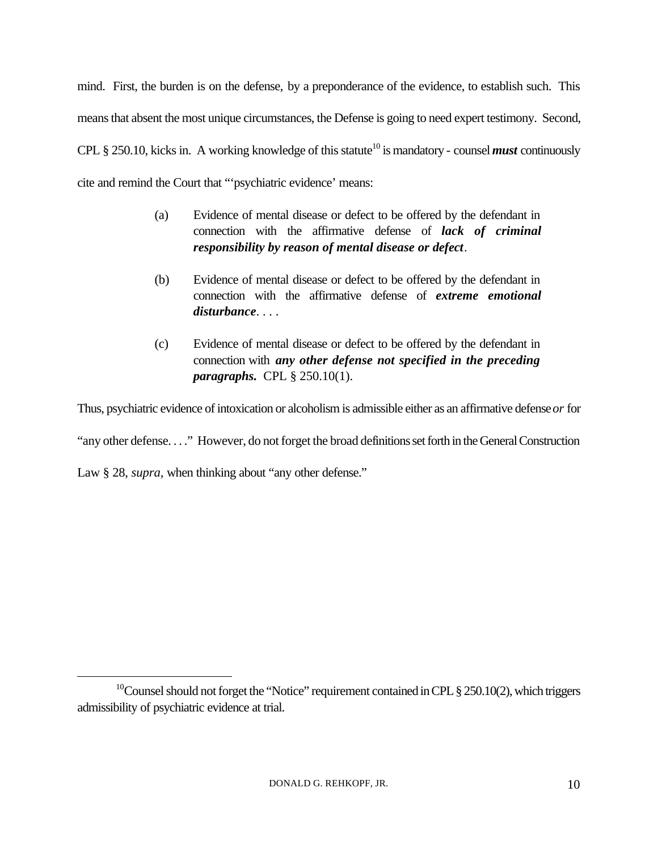mind. First, the burden is on the defense, by a preponderance of the evidence, to establish such. This means that absent the most unique circumstances, the Defense is going to need expert testimony. Second, CPL § 250.10, kicks in. A working knowledge of this statute<sup>10</sup> is mandatory - counsel *must* continuously cite and remind the Court that "'psychiatric evidence' means:

- (a) Evidence of mental disease or defect to be offered by the defendant in connection with the affirmative defense of *lack of criminal responsibility by reason of mental disease or defect*.
- (b) Evidence of mental disease or defect to be offered by the defendant in connection with the affirmative defense of *extreme emotional disturbance*. . . .
- (c) Evidence of mental disease or defect to be offered by the defendant in connection with *any other defense not specified in the preceding paragraphs.* CPL § 250.10(1).

Thus, psychiatric evidence of intoxication or alcoholism is admissible either as an affirmative defense *or* for

"any other defense. . . ." However, do not forget the broad definitions set forth in the General Construction

Law § 28, *supra*, when thinking about "any other defense."

<sup>&</sup>lt;sup>10</sup>Counsel should not forget the "Notice" requirement contained in CPL  $\S 250.10(2)$ , which triggers admissibility of psychiatric evidence at trial.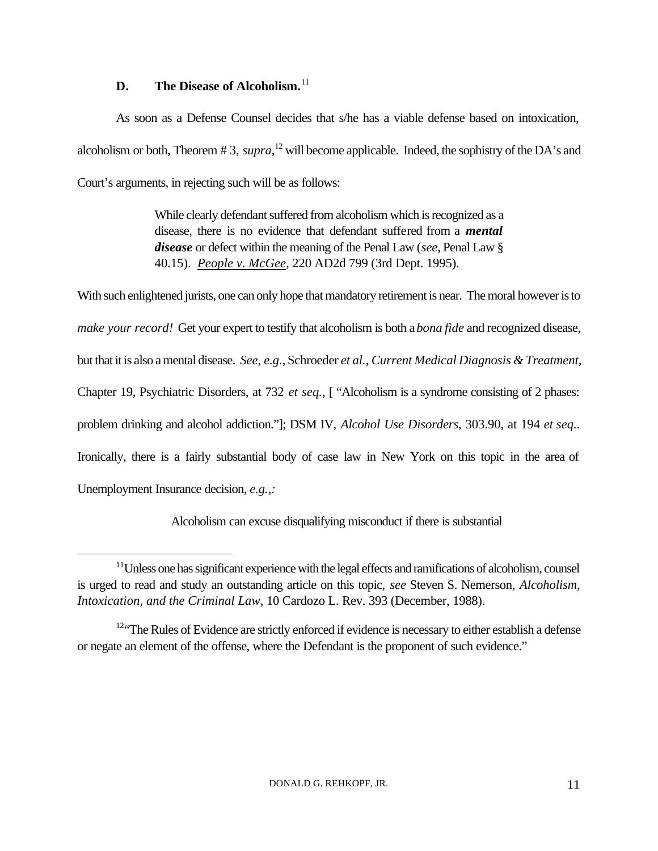### **D. The Disease of Alcoholism.**<sup>11</sup>

 $\overline{a}$ 

As soon as a Defense Counsel decides that s/he has a viable defense based on intoxication, alcoholism or both, Theorem # 3, *supra,*<sup>12</sup> will become applicable. Indeed, the sophistry of the DA's and Court's arguments, in rejecting such will be as follows:

> While clearly defendant suffered from alcoholism which is recognized as a disease, there is no evidence that defendant suffered from a *mental disease* or defect within the meaning of the Penal Law (*see*, Penal Law § 40.15). *People v. McGee*, 220 AD2d 799 (3rd Dept. 1995).

With such enlightened jurists, one can only hope that mandatory retirement is near. The moral however is to *make your record!* Get your expert to testify that alcoholism is both a *bona fide* and recognized disease, but that it is also a mental disease. *See, e.g.,* Schroeder *et al., Current Medical Diagnosis & Treatment,* Chapter 19, Psychiatric Disorders, at 732 *et seq.,* [ "Alcoholism is a syndrome consisting of 2 phases: problem drinking and alcohol addiction."]; DSM IV, *Alcohol Use Disorders*, 303.90, at 194 *et seq..* Ironically, there is a fairly substantial body of case law in New York on this topic in the area of Unemployment Insurance decision, *e.g.,:*

Alcoholism can excuse disqualifying misconduct if there is substantial

 $11$ Unless one has significant experience with the legal effects and ramifications of alcoholism, counsel is urged to read and study an outstanding article on this topic, *see* Steven S. Nemerson, *Alcoholism, Intoxication, and the Criminal Law,* 10 Cardozo L. Rev. 393 (December, 1988).

<sup>&</sup>lt;sup>12"</sup>The Rules of Evidence are strictly enforced if evidence is necessary to either establish a defense or negate an element of the offense, where the Defendant is the proponent of such evidence."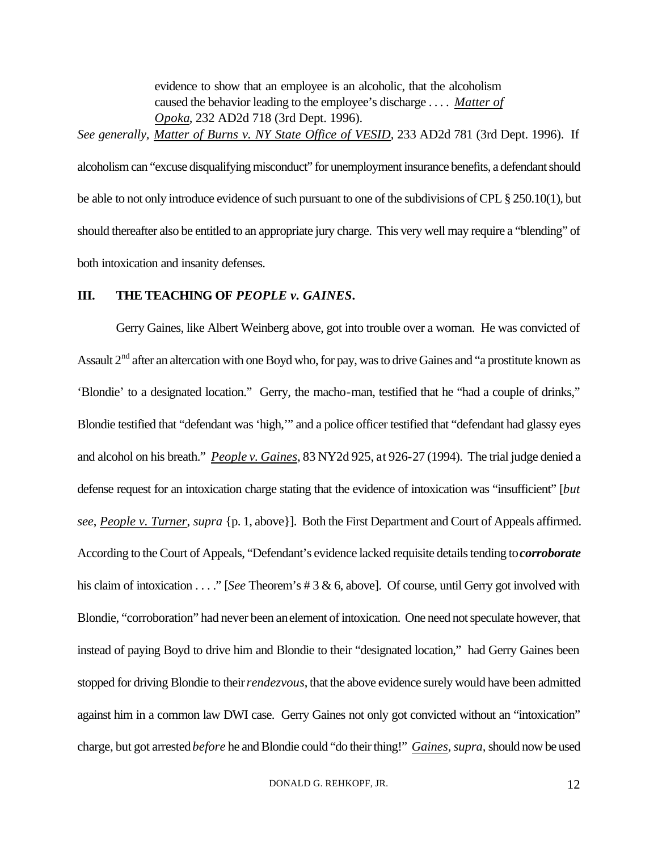evidence to show that an employee is an alcoholic, that the alcoholism caused the behavior leading to the employee's discharge . . . . *Matter of Opoka*, 232 AD2d 718 (3rd Dept. 1996). *See generally, Matter of Burns v. NY State Office of VESID*, 233 AD2d 781 (3rd Dept. 1996). If

alcoholism can "excuse disqualifying misconduct" for unemployment insurance benefits, a defendant should be able to not only introduce evidence of such pursuant to one of the subdivisions of CPL § 250.10(1), but should thereafter also be entitled to an appropriate jury charge. This very well may require a "blending" of both intoxication and insanity defenses.

### **III. THE TEACHING OF PEOPLE v. GAINES.**

Gerry Gaines, like Albert Weinberg above, got into trouble over a woman. He was convicted of Assault  $2<sup>nd</sup>$  after an altercation with one Boyd who, for pay, was to drive Gaines and "a prostitute known as 'Blondie' to a designated location." Gerry, the macho-man, testified that he "had a couple of drinks," Blondie testified that "defendant was 'high,'" and a police officer testified that "defendant had glassy eyes and alcohol on his breath." *People v. Gaines*, 83 NY2d 925, at 926-27 (1994). The trial judge denied a defense request for an intoxication charge stating that the evidence of intoxication was "insufficient" [*but see*, *People v. Turner*, *supra* {p. 1, above}]. Both the First Department and Court of Appeals affirmed. According to the Court of Appeals, "Defendant's evidence lacked requisite details tending to *corroborate* his claim of intoxication . . . ." [*See* Theorem's # 3 & 6, above]. Of course, until Gerry got involved with Blondie, "corroboration" had never been an element of intoxication. One need not speculate however, that instead of paying Boyd to drive him and Blondie to their "designated location," had Gerry Gaines been stopped for driving Blondie to their *rendezvous*, that the above evidence surely would have been admitted against him in a common law DWI case. Gerry Gaines not only got convicted without an "intoxication" charge, but got arrested *before* he and Blondie could "do their thing!" *Gaines, supra,* should now be used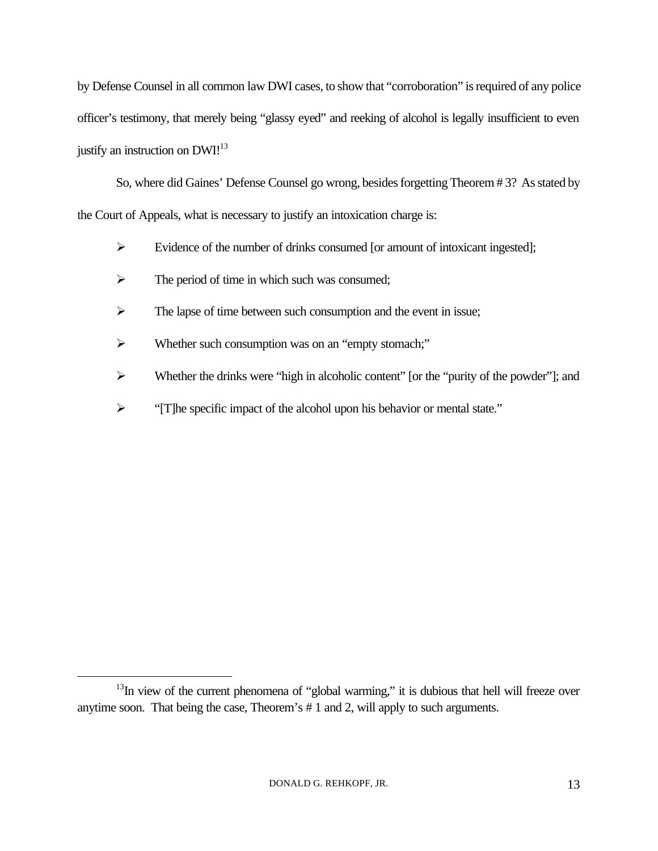by Defense Counsel in all common law DWI cases, to show that "corroboration" is required of any police officer's testimony, that merely being "glassy eyed" and reeking of alcohol is legally insufficient to even justify an instruction on DWI!<sup>13</sup>

So, where did Gaines' Defense Counsel go wrong, besides forgetting Theorem # 3? As stated by the Court of Appeals, what is necessary to justify an intoxication charge is:

- $\triangleright$  Evidence of the number of drinks consumed [or amount of intoxicant ingested];
- $\triangleright$  The period of time in which such was consumed;
- $\triangleright$  The lapse of time between such consumption and the event in issue;
- ÿ Whether such consumption was on an "empty stomach;"
- $\triangleright$  Whether the drinks were "high in alcoholic content" [or the "purity of the powder"]; and
- <sup>></sup> "[T]he specific impact of the alcohol upon his behavior or mental state."

 $13$ In view of the current phenomena of "global warming," it is dubious that hell will freeze over anytime soon. That being the case, Theorem's # 1 and 2, will apply to such arguments.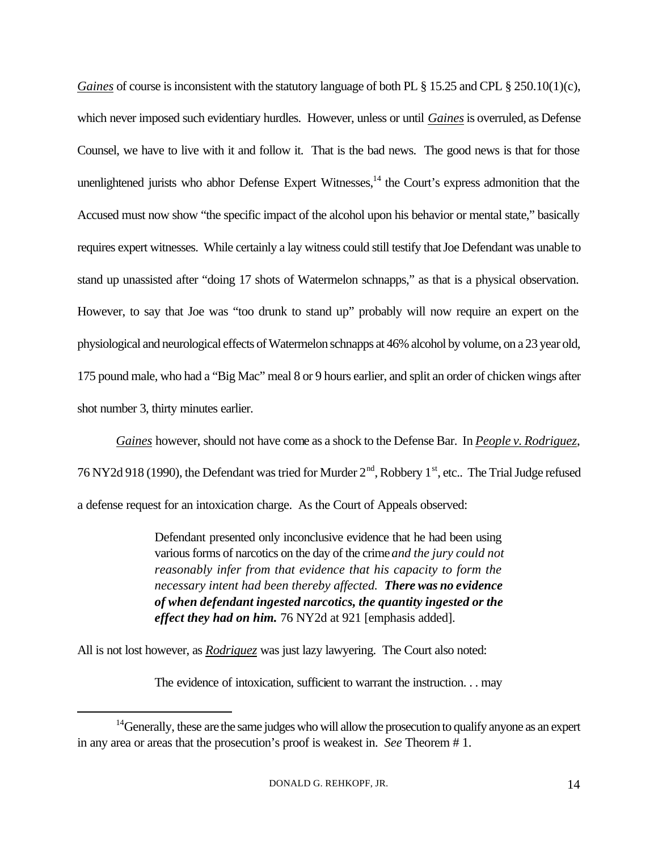*Gaines* of course is inconsistent with the statutory language of both PL § 15.25 and CPL § 250.10(1)(c), which never imposed such evidentiary hurdles. However, unless or until *Gaines* is overruled, as Defense Counsel, we have to live with it and follow it. That is the bad news. The good news is that for those unenlightened jurists who abhor Defense Expert Witnesses,  $14$  the Court's express admonition that the Accused must now show "the specific impact of the alcohol upon his behavior or mental state," basically requires expert witnesses. While certainly a lay witness could still testify that Joe Defendant was unable to stand up unassisted after "doing 17 shots of Watermelon schnapps," as that is a physical observation. However, to say that Joe was "too drunk to stand up" probably will now require an expert on the physiological and neurological effects of Watermelon schnapps at 46% alcohol by volume, on a 23 year old, 175 pound male, who had a "Big Mac" meal 8 or 9 hours earlier, and split an order of chicken wings after shot number 3, thirty minutes earlier.

*Gaines* however, should not have come as a shock to the Defense Bar. In *People v. Rodriguez*, 76 NY2d 918 (1990), the Defendant was tried for Murder  $2<sup>nd</sup>$ , Robbery 1<sup>st</sup>, etc.. The Trial Judge refused a defense request for an intoxication charge. As the Court of Appeals observed:

> Defendant presented only inconclusive evidence that he had been using various forms of narcotics on the day of the crime *and the jury could not reasonably infer from that evidence that his capacity to form the necessary intent had been thereby affected. There was no evidence of when defendant ingested narcotics, the quantity ingested or the effect they had on him.* 76 NY2d at 921 [emphasis added].

All is not lost however, as *Rodriguez* was just lazy lawyering. The Court also noted:

 $\overline{a}$ 

The evidence of intoxication, sufficient to warrant the instruction. . . may

<sup>&</sup>lt;sup>14</sup> Generally, these are the same judges who will allow the prosecution to qualify anyone as an expert in any area or areas that the prosecution's proof is weakest in. *See* Theorem # 1.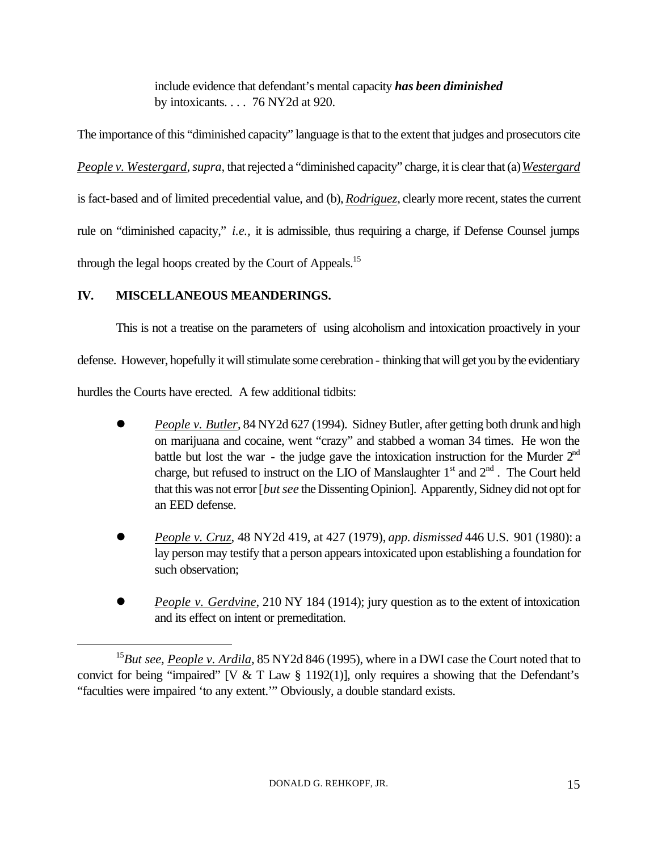include evidence that defendant's mental capacity *has been diminished* by intoxicants. . . . 76 NY2d at 920.

The importance of this "diminished capacity" language is that to the extent that judges and prosecutors cite *People v. Westergard, supra,* that rejected a "diminished capacity" charge, it is clear that (a) *Westergard* is fact-based and of limited precedential value, and (b), *Rodriguez*, clearly more recent, states the current rule on "diminished capacity," *i.e.,* it is admissible, thus requiring a charge, if Defense Counsel jumps through the legal hoops created by the Court of Appeals.<sup>15</sup>

# **IV. MISCELLANEOUS MEANDERINGS.**

 $\overline{a}$ 

This is not a treatise on the parameters of using alcoholism and intoxication proactively in your defense. However, hopefully it will stimulate some cerebration - thinking that will get you by the evidentiary hurdles the Courts have erected. A few additional tidbits:

- l *People v. Butler*, 84 NY2d 627 (1994). Sidney Butler, after getting both drunk and high on marijuana and cocaine, went "crazy" and stabbed a woman 34 times. He won the battle but lost the war - the judge gave the intoxication instruction for the Murder  $2<sup>nd</sup>$ charge, but refused to instruct on the LIO of Manslaughter  $1<sup>st</sup>$  and  $2<sup>nd</sup>$ . The Court held that this was not error [*but see* the Dissenting Opinion]. Apparently, Sidney did not opt for an EED defense.
- l *People v. Cruz*, 48 NY2d 419, at 427 (1979), *app. dismissed* 446 U.S. 901 (1980): a lay person may testify that a person appears intoxicated upon establishing a foundation for such observation;
- **•** *People v. Gerdvine*, 210 NY 184 (1914); jury question as to the extent of intoxication and its effect on intent or premeditation.

<sup>&</sup>lt;sup>15</sup>But see, People v. Ardila, 85 NY2d 846 (1995), where in a DWI case the Court noted that to convict for being "impaired" [V & T Law  $\S$  1192(1)], only requires a showing that the Defendant's "faculties were impaired 'to any extent.'" Obviously, a double standard exists.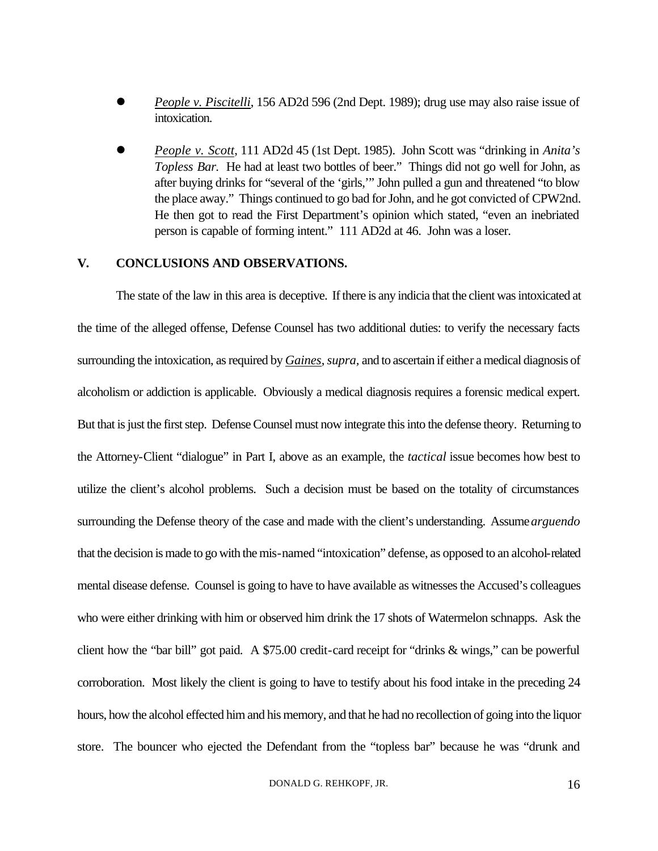- l *People v. Piscitelli*, 156 AD2d 596 (2nd Dept. 1989); drug use may also raise issue of intoxication.
- l *People v. Scott*, 111 AD2d 45 (1st Dept. 1985). John Scott was "drinking in *Anita's Topless Bar.* He had at least two bottles of beer." Things did not go well for John, as after buying drinks for "several of the 'girls,'" John pulled a gun and threatened "to blow the place away." Things continued to go bad for John, and he got convicted of CPW2nd. He then got to read the First Department's opinion which stated, "even an inebriated person is capable of forming intent." 111 AD2d at 46. John was a loser.

### **V. CONCLUSIONS AND OBSERVATIONS.**

The state of the law in this area is deceptive. If there is any indicia that the client was intoxicated at the time of the alleged offense, Defense Counsel has two additional duties: to verify the necessary facts surrounding the intoxication, as required by *Gaines*, *supra,* and to ascertain if either a medical diagnosis of alcoholism or addiction is applicable. Obviously a medical diagnosis requires a forensic medical expert. But that is just the first step. Defense Counsel must now integrate this into the defense theory. Returning to the Attorney-Client "dialogue" in Part I, above as an example, the *tactical* issue becomes how best to utilize the client's alcohol problems. Such a decision must be based on the totality of circumstances surrounding the Defense theory of the case and made with the client's understanding. Assume *arguendo* that the decision is made to go with the mis-named "intoxication" defense, as opposed to an alcohol-related mental disease defense. Counsel is going to have to have available as witnesses the Accused's colleagues who were either drinking with him or observed him drink the 17 shots of Watermelon schnapps. Ask the client how the "bar bill" got paid. A \$75.00 credit-card receipt for "drinks & wings," can be powerful corroboration. Most likely the client is going to have to testify about his food intake in the preceding 24 hours, how the alcohol effected him and his memory, and that he had no recollection of going into the liquor store. The bouncer who ejected the Defendant from the "topless bar" because he was "drunk and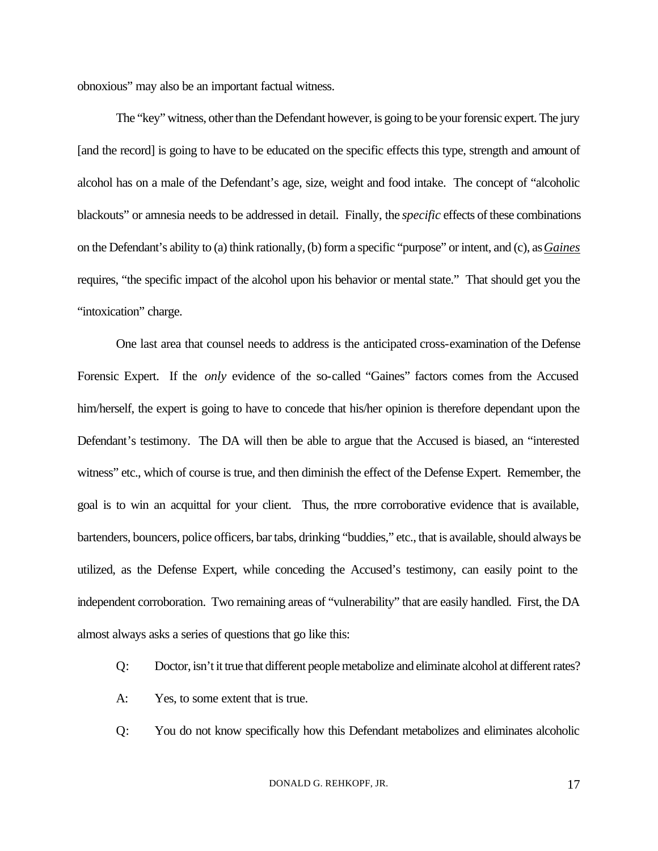obnoxious" may also be an important factual witness.

The "key" witness, other than the Defendant however, is going to be your forensic expert. The jury [and the record] is going to have to be educated on the specific effects this type, strength and amount of alcohol has on a male of the Defendant's age, size, weight and food intake. The concept of "alcoholic blackouts" or amnesia needs to be addressed in detail. Finally, the *specific* effects of these combinations on the Defendant's ability to (a) think rationally, (b) form a specific "purpose" or intent, and (c), as *Gaines* requires, "the specific impact of the alcohol upon his behavior or mental state." That should get you the "intoxication" charge.

One last area that counsel needs to address is the anticipated cross-examination of the Defense Forensic Expert. If the *only* evidence of the so-called "Gaines" factors comes from the Accused him/herself, the expert is going to have to concede that his/her opinion is therefore dependant upon the Defendant's testimony. The DA will then be able to argue that the Accused is biased, an "interested witness" etc., which of course is true, and then diminish the effect of the Defense Expert. Remember, the goal is to win an acquittal for your client. Thus, the more corroborative evidence that is available, bartenders, bouncers, police officers, bar tabs, drinking "buddies," etc., that is available, should always be utilized, as the Defense Expert, while conceding the Accused's testimony, can easily point to the independent corroboration. Two remaining areas of "vulnerability" that are easily handled. First, the DA almost always asks a series of questions that go like this:

- Q: Doctor, isn't it true that different people metabolize and eliminate alcohol at different rates?
- A: Yes, to some extent that is true.
- Q: You do not know specifically how this Defendant metabolizes and eliminates alcoholic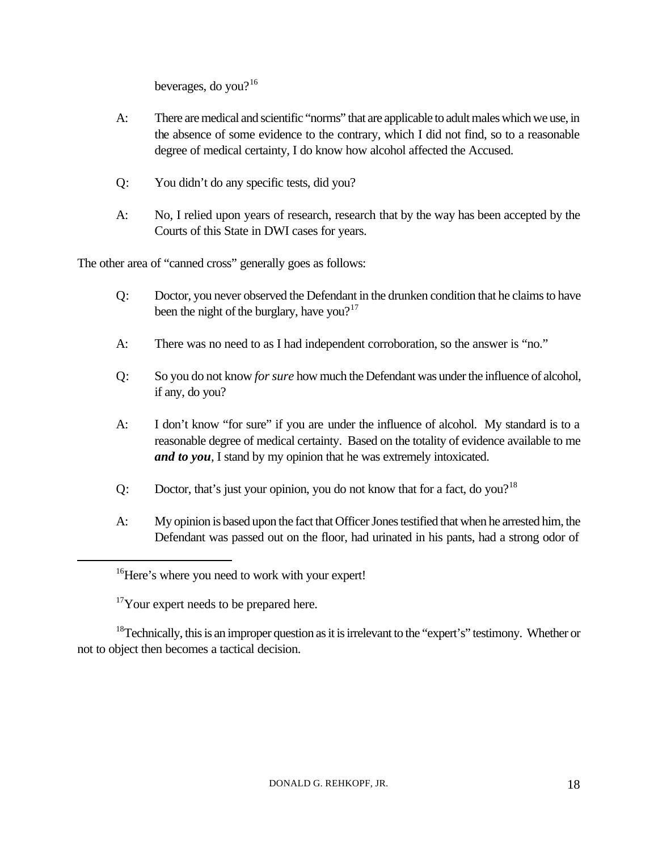beverages, do you? $16$ 

- A: There are medical and scientific "norms" that are applicable to adult males which we use, in the absence of some evidence to the contrary, which I did not find, so to a reasonable degree of medical certainty, I do know how alcohol affected the Accused.
- Q: You didn't do any specific tests, did you?
- A: No, I relied upon years of research, research that by the way has been accepted by the Courts of this State in DWI cases for years.

The other area of "canned cross" generally goes as follows:

- Q: Doctor, you never observed the Defendant in the drunken condition that he claims to have been the night of the burglary, have you?<sup>17</sup>
- A: There was no need to as I had independent corroboration, so the answer is "no."
- Q: So you do not know *for sure* how much the Defendant was under the influence of alcohol, if any, do you?
- A: I don't know "for sure" if you are under the influence of alcohol. My standard is to a reasonable degree of medical certainty. Based on the totality of evidence available to me *and to you*, I stand by my opinion that he was extremely intoxicated.
- Q: Doctor, that's just your opinion, you do not know that for a fact, do you?<sup>18</sup>
- A: My opinion is based upon the fact that Officer Jones testified that when he arrested him, the Defendant was passed out on the floor, had urinated in his pants, had a strong odor of

 $17$ Your expert needs to be prepared here.

 $\overline{a}$ 

 $18$ Technically, this is an improper question as it is irrelevant to the "expert's" testimony. Whether or not to object then becomes a tactical decision.

<sup>&</sup>lt;sup>16</sup>Here's where you need to work with your expert!